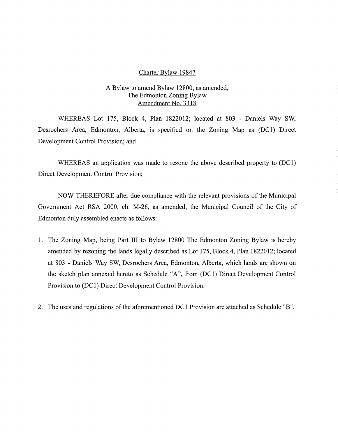#### Charter Bylaw 19847

#### A Bylaw to amend Bylaw 12800, as amended, The Edmonton Zoning Bylaw Amendment No. 3318

WHEREAS Lot 175, Block 4, Plan 1822012; located at 803 - Daniels Way SW, Desrochers Area, Edmonton, Alberta, is specified on the Zoning Map as (DC1) Direct Development Control Provision; and

WHEREAS an application was made to rezone the above described property to (DC1) Direct Development Control Provision;

NOW THEREFORE after due compliance with the relevant provisions of the Municipal Government Act RSA 2000, ch. M-26, as amended, the Municipal Council of the City of Edmonton duly assembled enacts as follows:

- 1. The Zoning Map, being Part III to Bylaw 12800 The Edmonton Zoning Bylaw is hereby amended by rezoning the lands legally described as Lot 175, Block 4, Plan 1822012; located at 803 - Daniels Way SW, Desrochers Area, Edmonton, Alberta, which lands are shown on the sketch plan annexed hereto as Schedule "A", from (DC1) Direct Development Control Provision to (DC1) Direct Development Control Provision.
- 2. The uses and regulations of the aforementioned DC1 Provision are attached as Schedule "B".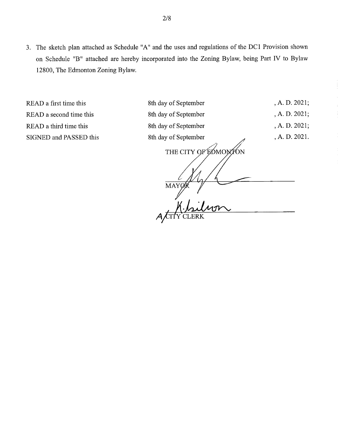3. The sketch plan attached as Schedule "A" and the uses and regulations of the DC1 Provision shown on Schedule "B" attached are hereby incorporated into the Zoning Bylaw, being Part IV to Bylaw 12800, The Edmonton Zoning Bylaw.

, THE CITY OF EDMONTON MAY READ a first time this 8th day of September , A. D. 2021; READ a second time this 8th day of September , A. D. 2021; READ a third time this 8th day of September , A. D. 2021; SIGNED and PASSED this 8th day of September , A. D. 2021.  $\begin{array}{c|c}\n\mathbf{1} & \mathbf{1} \\
\mathbf{1} & \mathbf{1}\n\end{array}$  $A/\text{CTY}$ CLERK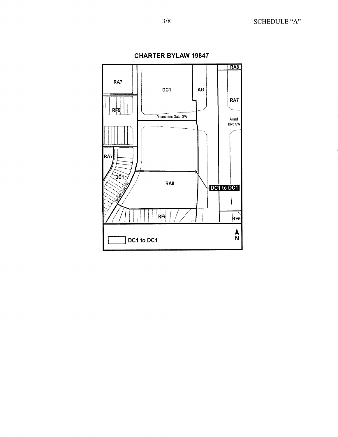3/8 SCHEDULE "A"



**CHARTER BYLAW 19847**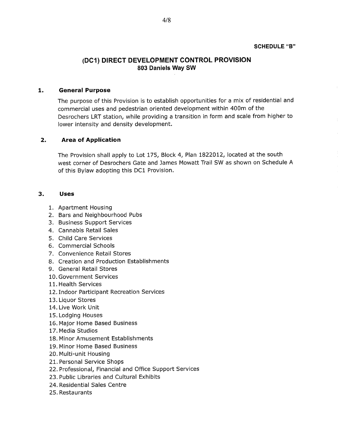#### **SCHEDULE "B"**

# **(DC1) DIRECT DEVELOPMENT CONTROL PROVISION 803 Daniels Way SW**

#### **1. General Purpose**

The purpose of this Provision is to establish opportunities for a mix of residential and commercial uses and pedestrian oriented development within 400m of the Desrochers LRT station, while providing a transition in form and scale from higher to lower intensity and density development.

#### **2. Area of Application**

The Provision shall apply to Lot 175, Block 4, Plan 1822012, located at the south west corner of Desrochers Gate and James Mowatt Trail SW as shown on Schedule A of this Bylaw adopting this DC1 Provision.

#### **3. Uses**

- 1. Apartment Housing
- 2. Bars and Neighbourhood Pubs
- 3. Business Support Services
- 4. Cannabis Retail Sales
- 5. Child Care Services
- 6. Commercial Schools
- 7. Convenience Retail Stores
- 8. Creation and Production Establishments
- 9. General Retail Stores
- 10. Government Services
- 11. Health Services
- 12.Indoor Participant Recreation Services
- 13. Liquor Stores
- 14. Live Work Unit
- 15. Lodging Houses
- 16. Major Home Based Business
- 17. Media Studios
- 18. Minor Amusement Establishments
- 19. Minor Home Based Business
- 20. Multi-unit Housing
- 21. Personal Service Shops
- 22. Professional, Financial and Office Support Services
- 23. Public Libraries and Cultural Exhibits
- 24. Residential Sales Centre
- 25. Restaurants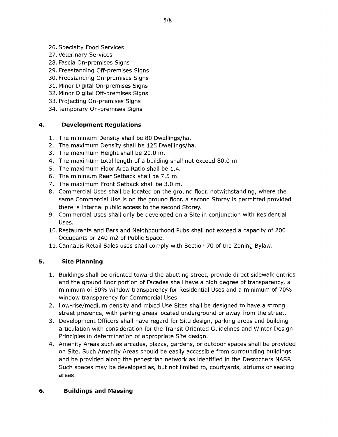- 26. Specialty Food Services
- 27. Veterinary Services
- 28. Fascia On-premises Signs
- 29. Freestanding Off-premises Signs
- 30. Freestanding On-premises Signs
- 31. Minor Digital On-premises Signs
- 32. Minor Digital Off-premises Signs
- 33. Projecting On-premises Signs
- 34. Temporary On-premises Signs

## **4. Development Regulations**

- 1. The minimum Density shall be 80 Dwellings/ha.
- 2. The maximum Density shall be 125 Dwellings/ha.
- 3. The maximum Height shall be 20.0 m.
- 4. The maximum total length of a building shall not exceed 80.0 m.
- 5. The maximum Floor Area Ratio shall be 1.4.
- 6. The minimum Rear Setback shall be 7.5 m.
- 7. The maximum Front Setback shall be 3.0 m.
- 8. Commercial Uses shall be located on the ground floor, notwithstanding, where the same Commercial Use is on the ground floor, a second Storey is permitted provided there is internal public access to the second Storey.
- 9. Commercial Uses shall only be developed on a Site in conjunction with Residential Uses.
- 10. Restaurants and Bars and Neighbourhood Pubs shall not exceed a capacity of 200 Occupants or 240 m2 of Public Space.
- 11.Cannabis Retail Sales uses shall comply with Section 70 of the Zoning Bylaw.

## **5. Site Planning**

- 1. Buildings shall be oriented toward the abutting street, provide direct sidewalk entries and the ground floor portion of Façades shall have a high degree of transparency, a minimum of 50% window transparency for Residential Uses and a minimum of 70% window transparency for Commercial Uses.
- 2. Low-rise/medium density and mixed Use Sites shall be designed to have a strong street presence, with parking areas located underground or away from the street.
- 3. Development Officers shall have regard for Site design, parking areas and building articulation with consideration for the Transit Oriented Guidelines and Winter Design Principles in determination of appropriate Site design.
- 4. Amenity Areas such as arcades, plazas, gardens, or outdoor spaces shall be provided on Site. Such Amenity Areas should be easily accessible from surrounding buildings and be provided along the pedestrian network as identified in the Desrochers NASP. Such spaces may be developed as, but not limited to, courtyards, atriums or seating areas.

## **6. Buildings and Massing**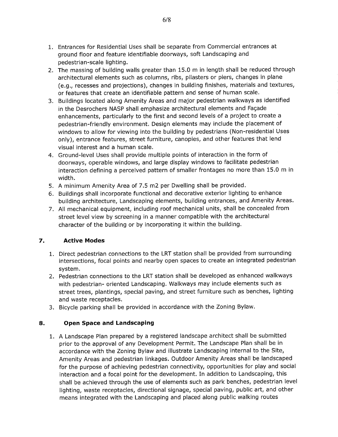- 1. Entrances for Residential Uses shall be separate from Commercial entrances at ground floor and feature identifiable doorways, soft Landscaping and pedestrian-scale lighting.
- 2. The massing of building walls greater than 15.0 m in length shall be reduced through architectural elements such as columns, ribs, pilasters or piers, changes in plane (e.g., recesses and projections), changes in building finishes, materials and textures, or features that create an identifiable pattern and sense of human scale.
- 3. Buildings located along Amenity Areas and major pedestrian walkways as identified in the Desrochers NASP shall emphasize architectural elements and Façade enhancements, particularly to the first and second levels of a project to create a pedestrian-friendly environment. Design elements may include the placement of windows to allow for viewing into the building by pedestrians (Non-residential Uses only), entrance features, street furniture, canopies, and other features that lend visual interest and a human scale.
- 4. Ground-level Uses shall provide multiple points of interaction in the form of doorways, operable windows, and large display windows to facilitate pedestrian interaction defining a perceived pattern of smaller frontages no more than 15.0 m in width.
- 5. A minimum Amenity Area of 7.5 m2 per Dwelling shall be provided.
- 6. Buildings shall incorporate functional and decorative exterior lighting to enhance building architecture, Landscaping elements, building entrances, and Amenity Areas.
- 7. All mechanical equipment, including roof mechanical units, shall be concealed from street level view by screening in a manner compatible with the architectural character of the building or by incorporating it within the building.

## **7. Active Modes**

- 1. Direct pedestrian connections to the LRT station shall be provided from surrounding intersections, focal points and nearby open spaces to create an integrated pedestrian system.
- 2. Pedestrian connections to the LRT station shall be developed as enhanced walkways with pedestrian- oriented Landscaping. Walkways may include elements such as street trees, plantings, special paving, and street furniture such as benches, lighting and waste receptacles.
- 3. Bicycle parking shall be provided in accordance with the Zoning Bylaw.

## **8. Open Space and Landscaping**

1. A Landscape Plan prepared by a registered landscape architect shall be submitted prior to the approval of any Development Permit. The Landscape Plan shall be in accordance with the Zoning Bylaw and illustrate Landscaping internal to the Site, Amenity Areas and pedestrian linkages. Outdoor Amenity Areas shall be landscaped for the purpose of achieving pedestrian connectivity, opportunities for play and social interaction and a focal point for the development. In addition to Landscaping, this shall be achieved through the use of elements such as park benches, pedestrian level lighting, waste receptacles, directional signage, special paving, public art, and other means integrated with the Landscaping and placed along public walking routes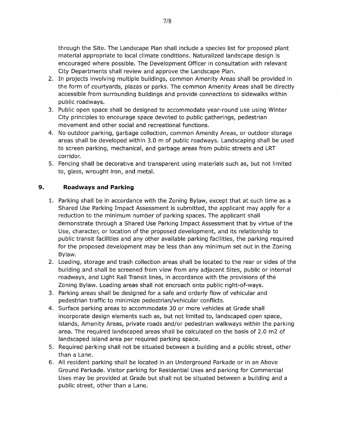through the Site. The Landscape Plan shall include a species list for proposed plant material appropriate to local climate conditions. Naturalized landscape design is encouraged where possible. The Development Officer in consultation with relevant City Departments shall review and approve the Landscape Plan.

- 2. In projects involving multiple buildings, common Amenity Areas shall be provided in the form of courtyards, plazas or parks. The common Amenity Areas shall be directly accessible from surrounding buildings and provide connections to sidewalks within public roadways.
- 3. Public open space shall be designed to accommodate year-round use using Winter City principles to encourage space devoted to public gatherings, pedestrian movement and other social and recreational functions.
- 4. No outdoor parking, garbage collection, common Amenity Areas, or outdoor storage areas shall be developed within 3.0 m of public roadways. Landscaping shall be used to screen parking, mechanical, and garbage areas from public streets and LRT corridor.
- 5. Fencing shall be decorative and transparent using materials such as, but not limited to, glass, wrought iron, and metal.

## **9. Roadways and Parking**

- 1. Parking shall be in accordance with the Zoning Bylaw, except that at such time as a Shared Use Parking Impact Assessment is submitted, the applicant may apply for a reduction to the minimum number of parking spaces. The applicant shall demonstrate through a Shared Use Parking Impact Assessment that by virtue of the Use, character, or location of the proposed development, and its relationship to public transit facilities and any other available parking facilities, the parking required for the proposed development may be less than any minimum set out in the Zoning Bylaw.
- 2. Loading, storage and trash collection areas shall be located to the rear or sides of the building and shall be screened from view from any adjacent Sites, public or internal roadways, and Light Rail Transit lines, in accordance with the provisions of the Zoning Bylaw. Loading areas shall not encroach onto public right-of-ways.
- 3. Parking areas shall be designed for a safe and orderly flow of vehicular and pedestrian traffic to minimize pedestrian/vehicular conflicts.
- 4. Surface parking areas to accommodate 30 or more vehicles at Grade shall incorporate design elements such as, but not limited to, landscaped open space, islands, Amenity Areas, private roads and/or pedestrian walkways within the parking area. The required landscaped areas shall be calculated on the basis of 2.0 m2 of landscaped island area per required parking space.
- 5. Required parking shall not be situated between a building and a public street, other than a Lane.
- 6. All resident parking shall be located in an Underground Parkade or in an Above Ground Parkade. Visitor parking for Residential Uses and parking for Commercial Uses may be provided at Grade but shall not be situated between a building and a public street, other than a Lane.